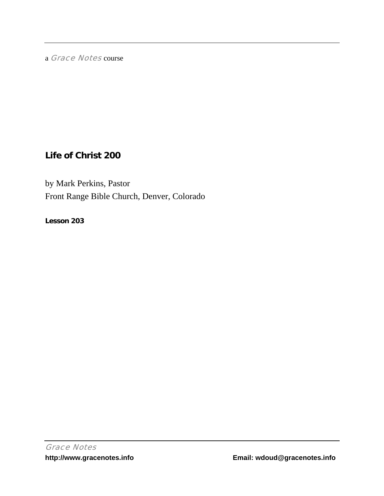a Grace Notes course

# **Life of Christ 200**

by Mark Perkins, Pastor Front Range Bible Church, Denver, Colorado

**Lesson 203**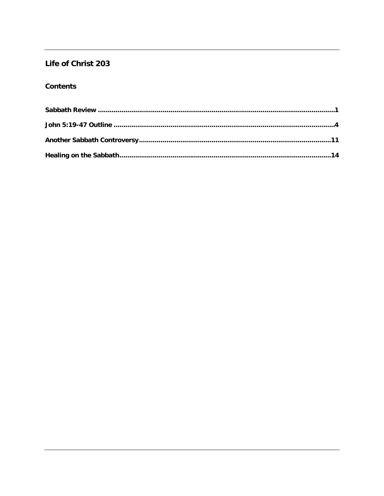## Life of Christ 203

## **Contents**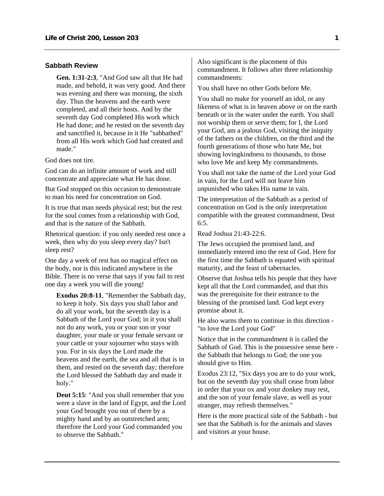#### <span id="page-2-0"></span>**Sabbath Review**

**Gen. 1:31-2:3**, "And God saw all that He had made, and behold, it was very good. And there was evening and there was morning, the sixth day. Thus the heavens and the earth were completed, and all their hosts. And by the seventh day God completed His work which He had done; and he rested on the seventh day and sanctified it, because in it He "sabbathed" from all His work which God had created and made."

God does not tire.

God can do an infinite amount of work and still concentrate and appreciate what He has done.

But God stopped on this occasion to demonstrate to man his need for concentration on God.

It is true that man needs physical rest; but the rest for the soul comes from a relationship with God, and that is the nature of the Sabbath.

Rhetorical question: if you only needed rest once a week, then why do you sleep every day? Isn't sleep rest?

One day a week of rest has no magical effect on the body, nor is this indicated anywhere in the Bible. There is no verse that says if you fail to rest one day a week you will die young!

**Exodus 20:8-11**, "Remember the Sabbath day, to keep it holy. Six days you shall labor and do all your work, but the seventh day is a Sabbath of the Lord your God; in it you shall not do any work, you or your son or your daughter, your male or your female servant or your cattle or your sojourner who stays with you. For in six days the Lord made the heavens and the earth, the sea and all that is in them, and rested on the seventh day; therefore the Lord blessed the Sabbath day and made it holy."

**Deut 5:15**: "And you shall remember that you were a slave in the land of Egypt, and the Lord your God brought you out of there by a mighty hand and by an outstretched arm; therefore the Lord your God commanded you to observe the Sabbath."

Also significant is the placement of this commandment. It follows after three relationship commandments:

You shall have no other Gods before Me.

You shall no make for yourself an idol, or any likeness of what is in heaven above or on the earth beneath or in the water under the earth. You shall not worship them or serve them; for I, the Lord your God, am a jealous God, visiting the iniquity of the fathers on the children, on the third and the fourth generations of those who hate Me, but showing lovingkindness to thousands, to those who love Me and keep My commandments.

You shall not take the name of the Lord your God in vain, for the Lord will not leave him unpunished who takes His name in vain.

The interpretation of the Sabbath as a period of concentration on God is the only interpretation compatible with the greatest commandment, Deut 6:5.

Read Joshua 21:43-22:6.

The Jews occupied the promised land, and immediately entered into the rest of God. Here for the first time the Sabbath is equated with spiritual maturity, and the feast of tabernacles.

Observe that Joshua tells his people that they have kept all that the Lord commanded, and that this was the prerequisite for their entrance to the blessing of the promised land. God kept every promise about it.

He also warns them to continue in this direction - "to love the Lord your God"

Notice that in the commandment it is called the Sabbath of God. This is the possessive sense here the Sabbath that belongs to God; the one you should give to Him.

Exodus 23:12, "Six days you are to do your work, but on the seventh day you shall cease from labor in order that your ox and your donkey may rest, and the son of your female slave, as well as your stranger, may refresh themselves."

Here is the more practical side of the Sabbath - but see that the Sabbath is for the animals and slaves and visitors at your house.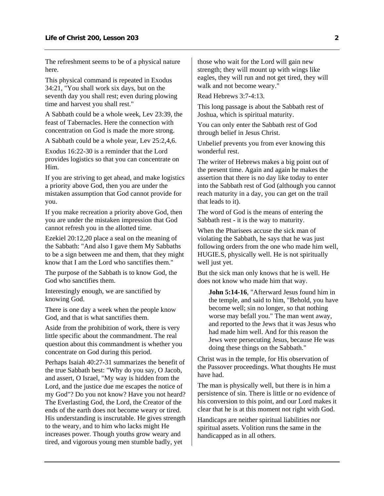The refreshment seems to be of a physical nature here.

This physical command is repeated in Exodus 34:21, "You shall work six days, but on the seventh day you shall rest; even during plowing time and harvest you shall rest."

A Sabbath could be a whole week, Lev 23:39, the feast of Tabernacles. Here the connection with concentration on God is made the more strong.

A Sabbath could be a whole year, Lev 25:2,4,6.

Exodus 16:22-30 is a reminder that the Lord provides logistics so that you can concentrate on Him.

If you are striving to get ahead, and make logistics a priority above God, then you are under the mistaken assumption that God cannot provide for you.

If you make recreation a priority above God, then you are under the mistaken impression that God cannot refresh you in the allotted time.

Ezekiel 20:12,20 place a seal on the meaning of the Sabbath: "And also I gave them My Sabbaths to be a sign between me and them, that they might know that I am the Lord who sanctifies them."

The purpose of the Sabbath is to know God, the God who sanctifies them.

Interestingly enough, we are sanctified by knowing God.

There is one day a week when the people know God, and that is what sanctifies them.

Aside from the prohibition of work, there is very little specific about the commandment. The real question about this commandment is whether you concentrate on God during this period.

Perhaps Isaiah 40:27-31 summarizes the benefit of the true Sabbath best: "Why do you say, O Jacob, and assert, O Israel, "My way is hidden from the Lord, and the justice due me escapes the notice of my God"? Do you not know? Have you not heard? The Everlasting God, the Lord, the Creator of the ends of the earth does not become weary or tired. His understanding is inscrutable. He gives strength to the weary, and to him who lacks might He increases power. Though youths grow weary and tired, and vigorous young men stumble badly, yet

those who wait for the Lord will gain new strength; they will mount up with wings like eagles, they will run and not get tired, they will walk and not become weary."

Read Hebrews 3:7-4:13.

This long passage is about the Sabbath rest of Joshua, which is spiritual maturity.

You can only enter the Sabbath rest of God through belief in Jesus Christ.

Unbelief prevents you from ever knowing this wonderful rest.

The writer of Hebrews makes a big point out of the present time. Again and again he makes the assertion that there is no day like today to enter into the Sabbath rest of God (although you cannot reach maturity in a day, you can get on the trail that leads to it).

The word of God is the means of entering the Sabbath rest - it is the way to maturity.

When the Pharisees accuse the sick man of violating the Sabbath, he says that he was just following orders from the one who made him well, HUGIE.S, physically well. He is not spiritually well just yet.

But the sick man only knows that he is well. He does not know who made him that way.

**John 5:14-16**, "Afterward Jesus found him in the temple, and said to him, "Behold, you have become well; sin no longer, so that nothing worse may befall you." The man went away, and reported to the Jews that it was Jesus who had made him well. And for this reason the Jews were persecuting Jesus, because He was doing these things on the Sabbath."

Christ was in the temple, for His observation of the Passover proceedings. What thoughts He must have had.

The man is physically well, but there is in him a persistence of sin. There is little or no evidence of his conversion to this point, and our Lord makes it clear that he is at this moment not right with God.

Handicaps are neither spiritual liabilities nor spiritual assets. Volition runs the same in the handicapped as in all others.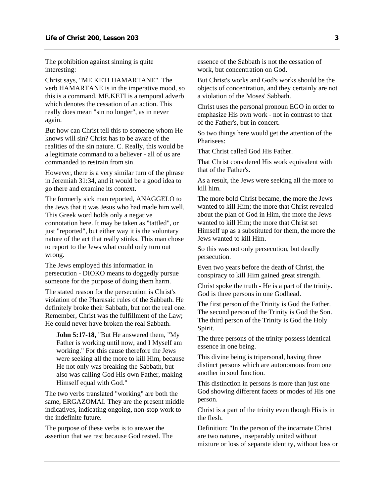The prohibition against sinning is quite interesting:

Christ says, "ME.KETI HAMARTANE". The verb HAMARTANE is in the imperative mood, so this is a command. ME.KETI is a temporal adverb which denotes the cessation of an action. This really does mean "sin no longer", as in never again.

But how can Christ tell this to someone whom He knows will sin? Christ has to be aware of the realities of the sin nature. C. Really, this would be a legitimate command to a believer - all of us are commanded to restrain from sin.

However, there is a very similar turn of the phrase in Jeremiah 31:34, and it would be a good idea to go there and examine its context.

The formerly sick man reported, ANAGGELO to the Jews that it was Jesus who had made him well. This Greek word holds only a negative connotation here. It may be taken as "tattled", or just "reported", but either way it is the voluntary nature of the act that really stinks. This man chose to report to the Jews what could only turn out wrong.

The Jews employed this information in persecution - DIOKO means to doggedly pursue someone for the purpose of doing them harm.

The stated reason for the persecution is Christ's violation of the Pharasaic rules of the Sabbath. He definitely broke their Sabbath, but not the real one. Remember, Christ was the fulfillment of the Law; He could never have broken the real Sabbath.

**John 5:17-18,** "But He answered them, "My Father is working until now, and I Myself am working." For this cause therefore the Jews were seeking all the more to kill Him, because He not only was breaking the Sabbath, but also was calling God His own Father, making Himself equal with God."

The two verbs translated "working" are both the same, ERGAZOMAI. They are the present middle indicatives, indicating ongoing, non-stop work to the indefinite future.

The purpose of these verbs is to answer the assertion that we rest because God rested. The essence of the Sabbath is not the cessation of work, but concentration on God.

But Christ's works and God's works should be the objects of concentration, and they certainly are not a violation of the Moses' Sabbath.

Christ uses the personal pronoun EGO in order to emphasize His own work - not in contrast to that of the Father's, but in concert.

So two things here would get the attention of the Pharisees:

That Christ called God His Father.

That Christ considered His work equivalent with that of the Father's.

As a result, the Jews were seeking all the more to kill him.

The more bold Christ became, the more the Jews wanted to kill Him; the more that Christ revealed about the plan of God in Him, the more the Jews wanted to kill Him; the more that Christ set Himself up as a substituted for them, the more the Jews wanted to kill Him.

So this was not only persecution, but deadly persecution.

Even two years before the death of Christ, the conspiracy to kill Him gained great strength.

Christ spoke the truth - He is a part of the trinity. God is three persons in one Godhead.

The first person of the Trinity is God the Father. The second person of the Trinity is God the Son. The third person of the Trinity is God the Holy Spirit.

The three persons of the trinity possess identical essence in one being.

This divine being is tripersonal, having three distinct persons which are autonomous from one another in soul function.

This distinction in persons is more than just one God showing different facets or modes of His one person.

Christ is a part of the trinity even though His is in the flesh.

Definition: "In the person of the incarnate Christ are two natures, inseparably united without mixture or loss of separate identity, without loss or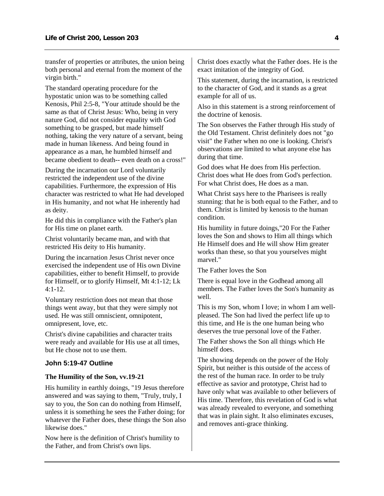<span id="page-5-0"></span>transfer of properties or attributes, the union being both personal and eternal from the moment of the virgin birth."

The standard operating procedure for the hypostatic union was to be something called Kenosis, Phil 2:5-8, "Your attitude should be the same as that of Christ Jesus: Who, being in very nature God, did not consider equality with God something to be grasped, but made himself nothing, taking the very nature of a servant, being made in human likeness. And being found in appearance as a man, he humbled himself and became obedient to death-- even death on a cross!"

During the incarnation our Lord voluntarily restricted the independent use of the divine capabilities. Furthermore, the expression of His character was restricted to what He had developed in His humanity, and not what He inherently had as deity.

He did this in compliance with the Father's plan for His time on planet earth.

Christ voluntarily became man, and with that restricted His deity to His humanity.

During the incarnation Jesus Christ never once exercised the independent use of His own Divine capabilities, either to benefit Himself, to provide for Himself, or to glorify Himself, Mt 4:1-12; Lk 4:1-12.

Voluntary restriction does not mean that those things went away, but that they were simply not used. He was still omniscient, omnipotent, omnipresent, love, etc.

Christ's divine capabilities and character traits were ready and available for His use at all times, but He chose not to use them.

## **John 5:19-47 Outline**

#### **The Humility of the Son, vv.19-21**

His humility in earthly doings, "19 Jesus therefore answered and was saying to them, "Truly, truly, I say to you, the Son can do nothing from Himself, unless it is something he sees the Father doing; for whatever the Father does, these things the Son also likewise does."

Now here is the definition of Christ's humility to the Father, and from Christ's own lips.

Christ does exactly what the Father does. He is the exact imitation of the integrity of God.

This statement, during the incarnation, is restricted to the character of God, and it stands as a great example for all of us.

Also in this statement is a strong reinforcement of the doctrine of kenosis.

The Son observes the Father through His study of the Old Testament. Christ definitely does not "go visit" the Father when no one is looking. Christ's observations are limited to what anyone else has during that time.

God does what He does from His perfection. Christ does what He does from God's perfection. For what Christ does, He does as a man.

What Christ says here to the Pharisees is really stunning: that he is both equal to the Father, and to them. Christ is limited by kenosis to the human condition.

His humility in future doings,"20 For the Father loves the Son and shows to Him all things which He Himself does and He will show Him greater works than these, so that you yourselves might marvel."

The Father loves the Son

There is equal love in the Godhead among all members. The Father loves the Son's humanity as well.

This is my Son, whom I love; in whom I am wellpleased. The Son had lived the perfect life up to this time, and He is the one human being who deserves the true personal love of the Father.

The Father shows the Son all things which He himself does.

The showing depends on the power of the Holy Spirit, but neither is this outside of the access of the rest of the human race. In order to be truly effective as savior and prototype, Christ had to have only what was available to other believers of His time. Therefore, this revelation of God is what was already revealed to everyone, and something that was in plain sight. It also eliminates excuses, and removes anti-grace thinking.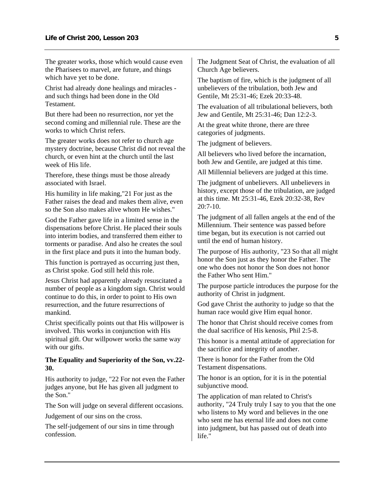The greater works, those which would cause even the Pharisees to marvel, are future, and things which have yet to be done.

Christ had already done healings and miracles and such things had been done in the Old Testament.

But there had been no resurrection, nor yet the second coming and millennial rule. These are the works to which Christ refers.

The greater works does not refer to church age mystery doctrine, because Christ did not reveal the church, or even hint at the church until the last week of His life.

Therefore, these things must be those already associated with Israel.

His humility in life making,"21 For just as the Father raises the dead and makes them alive, even so the Son also makes alive whom He wishes."

God the Father gave life in a limited sense in the dispensations before Christ. He placed their souls into interim bodies, and transferred them either to torments or paradise. And also he creates the soul in the first place and puts it into the human body.

This function is portrayed as occurring just then, as Christ spoke. God still held this role.

Jesus Christ had apparently already resuscitated a number of people as a kingdom sign. Christ would continue to do this, in order to point to His own resurrection, and the future resurrections of mankind.

Christ specifically points out that His willpower is involved. This works in conjunction with His spiritual gift. Our willpower works the same way with our gifts.

## **The Equality and Superiority of the Son, vv.22- 30.**

His authority to judge, "22 For not even the Father judges anyone, but He has given all judgment to the Son."

The Son will judge on several different occasions.

Judgement of our sins on the cross.

The self-judgement of our sins in time through confession.

The Judgment Seat of Christ, the evaluation of all Church Age believers.

The baptism of fire, which is the judgment of all unbelievers of the tribulation, both Jew and Gentile, Mt 25:31-46; Ezek 20:33-48.

The evaluation of all tribulational believers, both Jew and Gentile, Mt 25:31-46; Dan 12:2-3.

At the great white throne, there are three categories of judgments.

The judgment of believers.

All believers who lived before the incarnation, both Jew and Gentile, are judged at this time.

All Millennial believers are judged at this time.

The judgment of unbelievers. All unbelievers in history, except those of the tribulation, are judged at this time. Mt 25:31-46, Ezek 20:32-38, Rev 20:7-10.

The judgment of all fallen angels at the end of the Millennium. Their sentence was passed before time began, but its execution is not carried out until the end of human history.

The purpose of His authority, "23 So that all might honor the Son just as they honor the Father. The one who does not honor the Son does not honor the Father Who sent Him."

The purpose particle introduces the purpose for the authority of Christ in judgment.

God gave Christ the authority to judge so that the human race would give Him equal honor.

The honor that Christ should receive comes from the dual sacrifice of His kenosis, Phil 2:5-8.

This honor is a mental attitude of appreciation for the sacrifice and integrity of another.

There is honor for the Father from the Old Testament dispensations.

The honor is an option, for it is in the potential subjunctive mood.

The application of man related to Christ's authority, "24 Truly truly I say to you that the one who listens to My word and believes in the one who sent me has eternal life and does not come into judgment, but has passed out of death into life."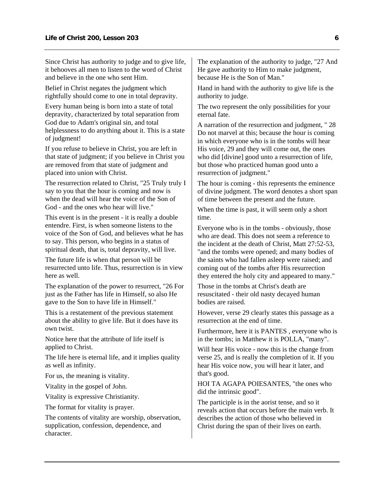Since Christ has authority to judge and to give life, it behooves all men to listen to the word of Christ and believe in the one who sent Him.

Belief in Christ negates the judgment which rightfully should come to one in total depravity.

Every human being is born into a state of total depravity, characterized by total separation from God due to Adam's original sin, and total helplessness to do anything about it. This is a state of judgment!

If you refuse to believe in Christ, you are left in that state of judgment; if you believe in Christ you are removed from that state of judgment and placed into union with Christ.

The resurrection related to Christ, "25 Truly truly I say to you that the hour is coming and now is when the dead will hear the voice of the Son of God - and the ones who hear will live."

This event is in the present - it is really a double entendre. First, is when someone listens to the voice of the Son of God, and believes what he has to say. This person, who begins in a status of spiritual death, that is, total depravity, will live.

The future life is when that person will be resurrected unto life. Thus, resurrection is in view here as well.

The explanation of the power to resurrect, "26 For just as the Father has life in Himself, so also He gave to the Son to have life in Himself."

This is a restatement of the previous statement about the ability to give life. But it does have its own twist.

Notice here that the attribute of life itself is applied to Christ.

The life here is eternal life, and it implies quality as well as infinity.

For us, the meaning is vitality.

Vitality in the gospel of John.

Vitality is expressive Christianity.

The format for vitality is prayer.

The contents of vitality are worship, observation, supplication, confession, dependence, and character.

The explanation of the authority to judge, "27 And He gave authority to Him to make judgment, because He is the Son of Man."

Hand in hand with the authority to give life is the authority to judge.

The two represent the only possibilities for your eternal fate.

A narration of the resurrection and judgment, " 28 Do not marvel at this; because the hour is coming in which everyone who is in the tombs will hear His voice, 29 and they will come out, the ones who did [divine] good unto a resurrection of life, but those who practiced human good unto a resurrection of judgment."

The hour is coming - this represents the eminence of divine judgment. The word denotes a short span of time between the present and the future.

When the time is past, it will seem only a short time.

Everyone who is in the tombs - obviously, those who are dead. This does not seem a reference to the incident at the death of Christ, Matt 27:52-53, "and the tombs were opened; and many bodies of the saints who had fallen asleep were raised; and coming out of the tombs after His resurrection they entered the holy city and appeared to many."

Those in the tombs at Christ's death are resuscitated - their old nasty decayed human bodies are raised.

However, verse 29 clearly states this passage as a resurrection at the end of time.

Furthermore, here it is PANTES , everyone who is in the tombs; in Matthew it is POLLA, "many".

Will hear His voice - now this is the change from verse 25, and is really the completion of it. If you hear His voice now, you will hear it later, and that's good.

HOI TA AGAPA POIESANTES, "the ones who did the intrinsic good".

The participle is in the aorist tense, and so it reveals action that occurs before the main verb. It describes the action of those who believed in Christ during the span of their lives on earth.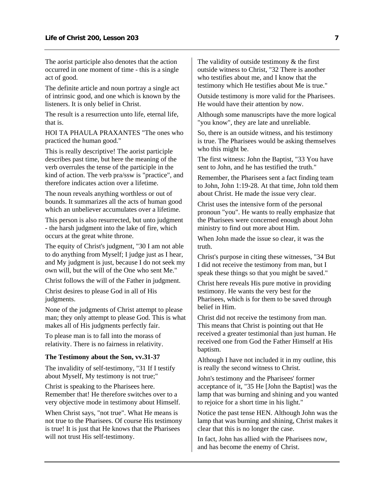The aorist participle also denotes that the action occurred in one moment of time - this is a single act of good.

The definite article and noun portray a single act of intrinsic good, and one which is known by the listeners. It is only belief in Christ.

The result is a resurrection unto life, eternal life, that is.

HOI TA PHAULA PRAXANTES "The ones who practiced the human good."

This is really descriptive! The aorist participle describes past time, but here the meaning of the verb overrules the tense of the participle in the kind of action. The verb pra/ssw is "practice", and therefore indicates action over a lifetime.

The noun reveals anything worthless or out of bounds. It summarizes all the acts of human good which an unbeliever accumulates over a lifetime.

This person is also resurrected, but unto judgment - the harsh judgment into the lake of fire, which occurs at the great white throne.

The equity of Christ's judgment, "30 I am not able to do anything from Myself; I judge just as I hear, and My judgment is just, because I do not seek my own will, but the will of the One who sent Me."

Christ follows the will of the Father in judgment.

Christ desires to please God in all of His judgments.

None of the judgments of Christ attempt to please man; they only attempt to please God. This is what makes all of His judgments perfectly fair.

To please man is to fall into the morass of relativity. There is no fairness in relativity.

#### **The Testimony about the Son, vv.31-37**

The invalidity of self-testimony, "31 If I testify about Myself, My testimony is not true;"

Christ is speaking to the Pharisees here. Remember that! He therefore switches over to a very objective mode in testimony about Himself.

When Christ says, "not true". What He means is not true to the Pharisees. Of course His testimony is true! It is just that He knows that the Pharisees will not trust His self-testimony.

The validity of outside testimony & the first outside witness to Christ, "32 There is another who testifies about me, and I know that the testimony which He testifies about Me is true."

Outside testimony is more valid for the Pharisees. He would have their attention by now.

Although some manuscripts have the more logical "you know", they are late and unreliable.

So, there is an outside witness, and his testimony is true. The Pharisees would be asking themselves who this might be.

The first witness: John the Baptist, "33 You have sent to John, and he has testified the truth."

Remember, the Pharisees sent a fact finding team to John, John 1:19-28. At that time, John told them about Christ. He made the issue very clear.

Christ uses the intensive form of the personal pronoun "you". He wants to really emphasize that the Pharisees were concerned enough about John ministry to find out more about Him.

When John made the issue so clear, it was the truth.

Christ's purpose in citing these witnesses, "34 But I did not receive the testimony from man, but I speak these things so that you might be saved."

Christ here reveals His pure motive in providing testimony. He wants the very best for the Pharisees, which is for them to be saved through belief in Him.

Christ did not receive the testimony from man. This means that Christ is pointing out that He received a greater testimonial than just human. He received one from God the Father Himself at His baptism.

Although I have not included it in my outline, this is really the second witness to Christ.

John's testimony and the Pharisees' former acceptance of it, "35 He [John the Baptist] was the lamp that was burning and shining and you wanted to rejoice for a short time in his light."

Notice the past tense HEN. Although John was the lamp that was burning and shining, Christ makes it clear that this is no longer the case.

In fact, John has allied with the Pharisees now, and has become the enemy of Christ.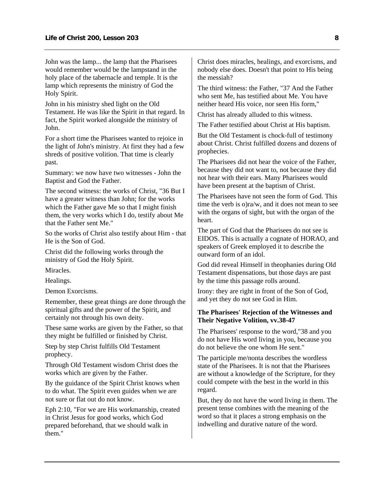John was the lamp... the lamp that the Pharisees would remember would be the lampstand in the holy place of the tabernacle and temple. It is the lamp which represents the ministry of God the Holy Spirit.

John in his ministry shed light on the Old Testament. He was like the Spirit in that regard. In fact, the Spirit worked alongside the ministry of John.

For a short time the Pharisees wanted to rejoice in the light of John's ministry. At first they had a few shreds of positive volition. That time is clearly past.

Summary: we now have two witnesses - John the Baptist and God the Father.

The second witness: the works of Christ, "36 But I have a greater witness than John; for the works which the Father gave Me so that I might finish them, the very works which I do, testify about Me that the Father sent Me."

So the works of Christ also testify about Him - that He is the Son of God.

Christ did the following works through the ministry of God the Holy Spirit.

Miracles.

Healings.

Demon Exorcisms.

Remember, these great things are done through the spiritual gifts and the power of the Spirit, and certainly not through his own deity.

These same works are given by the Father, so that they might be fulfilled or finished by Christ.

Step by step Christ fulfills Old Testament prophecy.

Through Old Testament wisdom Christ does the works which are given by the Father.

By the guidance of the Spirit Christ knows when to do what. The Spirit even guides when we are not sure or flat out do not know.

Eph 2:10, "For we are His workmanship, created in Christ Jesus for good works, which God prepared beforehand, that we should walk in them."

Christ does miracles, healings, and exorcisms, and nobody else does. Doesn't that point to His being the messiah?

The third witness: the Father, "37 And the Father who sent Me, has testified about Me. You have neither heard His voice, nor seen His form,"

Christ has already alluded to this witness.

The Father testified about Christ at His baptism.

But the Old Testament is chock-full of testimony about Christ. Christ fulfilled dozens and dozens of prophecies.

The Pharisees did not hear the voice of the Father, because they did not want to, not because they did not hear with their ears. Many Pharisees would have been present at the baptism of Christ.

The Pharisees have not seen the form of God. This time the verb is o)ra/w, and it does not mean to see with the organs of sight, but with the organ of the heart.

The part of God that the Pharisees do not see is EIDOS. This is actually a cognate of HORAO, and speakers of Greek employed it to describe the outward form of an idol.

God did reveal Himself in theophanies during Old Testament dispensations, but those days are past by the time this passage rolls around.

Irony: they are right in front of the Son of God, and yet they do not see God in Him.

#### **The Pharisees' Rejection of the Witnesses and Their Negative Volition, vv.38-47**

The Pharisees' response to the word,"38 and you do not have His word living in you, because you do not believe the one whom He sent."

The participle me/nonta describes the wordless state of the Pharisees. It is not that the Pharisees are without a knowledge of the Scripture, for they could compete with the best in the world in this regard.

But, they do not have the word living in them. The present tense combines with the meaning of the word so that it places a strong emphasis on the indwelling and durative nature of the word.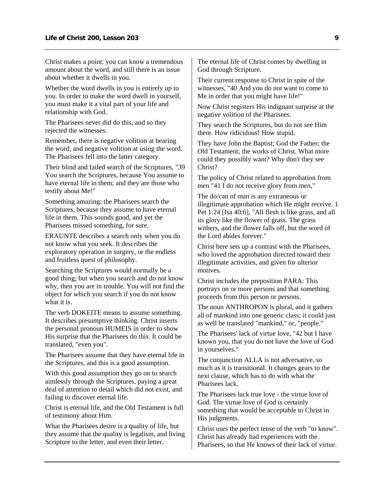Christ makes a point: you can know a tremendous amount about the word, and still there is an issue about whether it dwells in you.

Whether the word dwells in you is entirely up to you. In order to make the word dwell in yourself, you must make it a vital part of your life and relationship with God.

The Pharisees never did do this, and so they rejected the witnesses.

Remember, there is negative volition at hearing the word, and negative volition at using the word. The Pharisees fell into the latter category.

Their blind and failed search of the Scriptures, "39 You search the Scriptures, because You assume to have eternal life in them; and they are those who testify about Me!"

Something amazing: the Pharisees search the Scriptures, because they assume to have eternal life in them. This sounds good, and yet the Pharisees missed something, for sure.

ERAUNTE describes a search only when you do not know what you seek. It describes the exploratory operation in surgery, or the endless and fruitless quest of philosophy.

Searching the Scriptures would normally be a good thing; but when you search and do not know why, then you are in trouble. You will not find the object for which you search if you do not know what it is.

The verb DOKEITE means to assume something. It describes presumptive thinking. Christ inserts the personal pronoun HUMEIS in order to show His surprise that the Pharisees do this. It could be translated, "even you".

The Pharisees assume that they have eternal life in the Scriptures, and this is a good assumption.

With this good assumption they go on to search aimlessly through the Scriptures, paying a great deal of attention to detail which did not exist, and failing to discover eternal life.

Christ is eternal life, and the Old Testament is full of testimony about Him.

What the Pharisees desire is a quality of life, but they assume that the quality is legalism, and living Scripture to the letter, and even their letter.

The eternal life of Christ comes by dwelling in God through Scripture.

Their current response to Christ in spite of the witnesses, "40 And you do not want to come to Me in order that you might have life!"

Now Christ registers His indignant surprise at the negative volition of the Pharisees.

They search the Scriptures, but do not see Him there. How ridiculous! How stupid.

They have John the Baptist; God the Father; the Old Testament; the works of Christ. What more could they possibly want? Why don't they see Christ?

The policy of Christ related to approbation from men "41 I do not receive glory from men,"

The do/can of man is any extraneous or illegitimate approbation which He might receive. 1 Pet 1:24 [Isa 40:6], "All flesh is like grass, and all its glory like the flower of grass. The grass withers, and the flower falls off, but the word of the Lord abides forever."

Christ here sets up a contrast with the Pharisees, who loved the approbation directed toward their illegitimate activities, and given for ulterior motives.

Christ includes the preposition PARA: This portrays on or more persons and that something proceeds from this person or persons.

The noun ANTHROPON is plural, and it gathers all of mankind into one generic class; it could just as well be translated "mankind," or, "people."

The Pharisees' lack of virtue love, "42 but I have known you, that you do not have the love of God in yourselves."

The conjunction ALLA is not adversative, so much as it is transitional. It changes gears to the next clause, which has to do with what the Pharisees lack.

The Pharisees lack true love - the virtue love of God. The virtue love of God is certainly something that would be acceptable to Christ in His judgments.

Christ uses the perfect tense of the verb "to know". Christ has already had experiences with the Pharisees, so that He knows of their lack of virtue.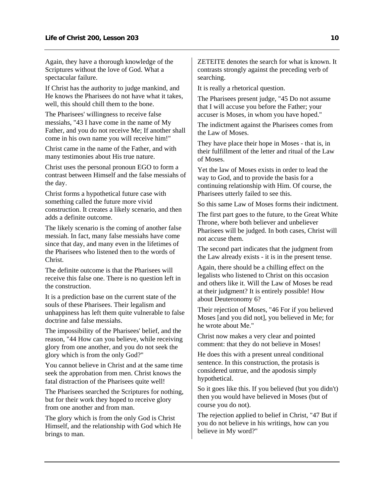Again, they have a thorough knowledge of the Scriptures without the love of God. What a spectacular failure.

If Christ has the authority to judge mankind, and He knows the Pharisees do not have what it takes, well, this should chill them to the bone.

The Pharisees' willingness to receive false messiahs, "43 I have come in the name of My Father, and you do not receive Me; If another shall come in his own name you will receive him!"

Christ came in the name of the Father, and with many testimonies about His true nature.

Christ uses the personal pronoun EGO to form a contrast between Himself and the false messiahs of the day.

Christ forms a hypothetical future case with something called the future more vivid construction. It creates a likely scenario, and then adds a definite outcome.

The likely scenario is the coming of another false messiah. In fact, many false messiahs have come since that day, and many even in the lifetimes of the Pharisees who listened then to the words of Christ.

The definite outcome is that the Pharisees will receive this false one. There is no question left in the construction.

It is a prediction base on the current state of the souls of these Pharisees. Their legalism and unhappiness has left them quite vulnerable to false doctrine and false messiahs.

The impossibility of the Pharisees' belief, and the reason, "44 How can you believe, while receiving glory from one another, and you do not seek the glory which is from the only God?"

You cannot believe in Christ and at the same time seek the approbation from men. Christ knows the fatal distraction of the Pharisees quite well!

The Pharisees searched the Scriptures for nothing, but for their work they hoped to receive glory from one another and from man.

The glory which is from the only God is Christ Himself, and the relationship with God which He brings to man.

ZETEITE denotes the search for what is known. It contrasts strongly against the preceding verb of searching.

It is really a rhetorical question.

The Pharisees present judge, "45 Do not assume that I will accuse you before the Father; your accuser is Moses, in whom you have hoped."

The indictment against the Pharisees comes from the Law of Moses.

They have place their hope in Moses - that is, in their fulfillment of the letter and ritual of the Law of Moses.

Yet the law of Moses exists in order to lead the way to God, and to provide the basis for a continuing relationship with Him. Of course, the Pharisees utterly failed to see this.

So this same Law of Moses forms their indictment.

The first part goes to the future, to the Great White Throne, where both believer and unbeliever Pharisees will be judged. In both cases, Christ will not accuse them.

The second part indicates that the judgment from the Law already exists - it is in the present tense.

Again, there should be a chilling effect on the legalists who listened to Christ on this occasion and others like it. Will the Law of Moses be read at their judgment? It is entirely possible! How about Deuteronomy 6?

Their rejection of Moses, "46 For if you believed Moses [and you did not], you believed in Me; for he wrote about Me."

Christ now makes a very clear and pointed comment: that they do not believe in Moses!

He does this with a present unreal conditional sentence. In this construction, the protasis is considered untrue, and the apodosis simply hypothetical.

So it goes like this. If you believed (but you didn't) then you would have believed in Moses (but of course you do not).

The rejection applied to belief in Christ, "47 But if you do not believe in his writings, how can you believe in My word?"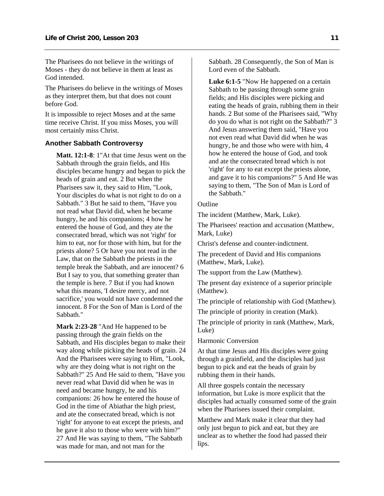<span id="page-12-0"></span>The Pharisees do not believe in the writings of Moses - they do not believe in them at least as God intended.

The Pharisees do believe in the writings of Moses as they interpret them, but that does not count before God.

It is impossible to reject Moses and at the same time receive Christ. If you miss Moses, you will most certainly miss Christ.

#### **Another Sabbath Controversy**

**Matt. 12:1-8**: 1"At that time Jesus went on the Sabbath through the grain fields, and His disciples became hungry and began to pick the heads of grain and eat. 2 But when the Pharisees saw it, they said to Him, "Look, Your disciples do what is not right to do on a Sabbath." 3 But he said to them, "Have you not read what David did, when he became hungry, he and his companions; 4 how he entered the house of God, and they ate the consecrated bread, which was not 'right' for him to eat, nor for those with him, but for the priests alone? 5 Or have you not read in the Law, that on the Sabbath the priests in the temple break the Sabbath, and are innocent? 6 But I say to you, that something greater than the temple is here. 7 But if you had known what this means, 'I desire mercy, and not sacrifice,' you would not have condemned the innocent. 8 For the Son of Man is Lord of the Sabbath."

**Mark 2:23-28** "And He happened to be passing through the grain fields on the Sabbath, and His disciples began to make their way along while picking the heads of grain. 24 And the Pharisees were saying to Him, "Look, why are they doing what is not right on the Sabbath?" 25 And He said to them, "Have you never read what David did when he was in need and became hungry, he and his companions: 26 how he entered the house of God in the time of Abiathar the high priest, and ate the consecrated bread, which is not 'right' for anyone to eat except the priests, and he gave it also to those who were with him?" 27 And He was saying to them, "The Sabbath was made for man, and not man for the

Sabbath. 28 Consequently, the Son of Man is Lord even of the Sabbath.

**Luke 6:1-5** "Now He happened on a certain Sabbath to be passing through some grain fields; and His disciples were picking and eating the heads of grain, rubbing them in their hands. 2 But some of the Pharisees said, "Why do you do what is not right on the Sabbath?" 3 And Jesus answering them said, "Have you not even read what David did when he was hungry, he and those who were with him, 4 how he entered the house of God, and took and ate the consecrated bread which is not 'right' for any to eat except the priests alone, and gave it to his companions?" 5 And He was saying to them, "The Son of Man is Lord of the Sabbath."

#### **Outline**

The incident (Matthew, Mark, Luke).

The Pharisees' reaction and accusation (Matthew, Mark, Luke)

Christ's defense and counter-indictment.

The precedent of David and His companions (Matthew, Mark, Luke).

The support from the Law (Matthew).

The present day existence of a superior principle (Matthew).

The principle of relationship with God (Matthew).

The principle of priority in creation (Mark).

The principle of priority in rank (Matthew, Mark, Luke)

Harmonic Conversion

At that time Jesus and His disciples were going through a grainfield, and the disciples had just begun to pick and eat the heads of grain by rubbing them in their hands.

All three gospels contain the necessary information, but Luke is more explicit that the disciples had actually consumed some of the grain when the Pharisees issued their complaint.

Matthew and Mark make it clear that they had only just begun to pick and eat, but they are unclear as to whether the food had passed their lips.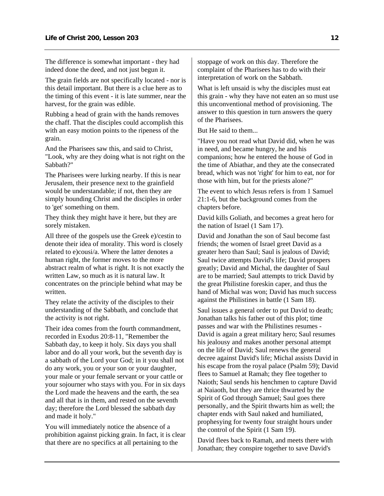The difference is somewhat important - they had indeed done the deed, and not just begun it.

The grain fields are not specifically located - nor is this detail important. But there is a clue here as to the timing of this event - it is late summer, near the harvest, for the grain was edible.

Rubbing a head of grain with the hands removes the chaff. That the disciples could accomplish this with an easy motion points to the ripeness of the grain.

And the Pharisees saw this, and said to Christ, "Look, why are they doing what is not right on the Sabbath?"

The Pharisees were lurking nearby. If this is near Jerusalem, their presence next to the grainfield would be understandable; if not, then they are simply hounding Christ and the disciples in order to 'get' something on them.

They think they might have it here, but they are sorely mistaken.

All three of the gospels use the Greek e)/cestin to denote their idea of morality. This word is closely related to e)cousi/a. Where the latter denotes a human right, the former moves to the more abstract realm of what is right. It is not exactly the written Law, so much as it is natural law. It concentrates on the principle behind what may be written.

They relate the activity of the disciples to their understanding of the Sabbath, and conclude that the activity is not right.

Their idea comes from the fourth commandment, recorded in Exodus 20:8-11, "Remember the Sabbath day, to keep it holy. Six days you shall labor and do all your work, but the seventh day is a sabbath of the Lord your God; in it you shall not do any work, you or your son or your daughter, your male or your female servant or your cattle or your sojourner who stays with you. For in six days the Lord made the heavens and the earth, the sea and all that is in them, and rested on the seventh day; therefore the Lord blessed the sabbath day and made it holy."

You will immediately notice the absence of a prohibition against picking grain. In fact, it is clear that there are no specifics at all pertaining to the

stoppage of work on this day. Therefore the complaint of the Pharisees has to do with their interpretation of work on the Sabbath.

What is left unsaid is why the disciples must eat this grain - why they have not eaten an so must use this unconventional method of provisioning. The answer to this question in turn answers the query of the Pharisees.

But He said to them...

"Have you not read what David did, when he was in need, and became hungry, he and his companions; how he entered the house of God in the time of Abiathar, and they ate the consecrated bread, which was not 'right' for him to eat, nor for those with him, but for the priests alone?"

The event to which Jesus refers is from 1 Samuel 21:1-6, but the background comes from the chapters before.

David kills Goliath, and becomes a great hero for the nation of Israel (1 Sam 17).

David and Jonathan the son of Saul become fast friends; the women of Israel greet David as a greater hero than Saul; Saul is jealous of David; Saul twice attempts David's life; David prospers greatly; David and Michal, the daughter of Saul are to be married; Saul attempts to trick David by the great Philistine foreskin caper, and thus the hand of Michal was won; David has much success against the Philistines in battle (1 Sam 18).

Saul issues a general order to put David to death; Jonathan talks his father out of this plot; time passes and war with the Philistines resumes - David is again a great military hero; Saul resumes his jealousy and makes another personal attempt on the life of David; Saul renews the general decree against David's life; Michal assists David in his escape from the royal palace (Psalm 59); David flees to Samuel at Ramah; they flee together to Naioth; Saul sends his henchmen to capture David at Naiaoth, but they are thrice thwarted by the Spirit of God through Samuel; Saul goes there personally, and the Spirit thwarts him as well; the chapter ends with Saul naked and humiliated, prophesying for twenty four straight hours under the control of the Spirit (1 Sam 19).

David flees back to Ramah, and meets there with Jonathan; they conspire together to save David's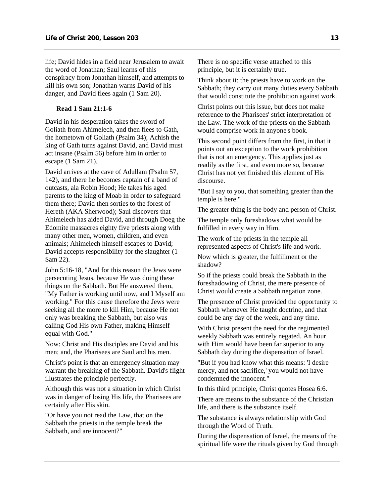life; David hides in a field near Jerusalem to await the word of Jonathan; Saul learns of this conspiracy from Jonathan himself, and attempts to kill his own son; Jonathan warns David of his danger, and David flees again (1 Sam 20).

## **Read 1 Sam 21:1-6**

David in his desperation takes the sword of Goliath from Ahimelech, and then flees to Gath, the hometown of Goliath (Psalm 34); Achish the king of Gath turns against David, and David must act insane (Psalm 56) before him in order to escape (1 Sam 21).

David arrives at the cave of Adullam (Psalm 57, 142), and there he becomes captain of a band of outcasts, ala Robin Hood; He takes his aged parents to the king of Moab in order to safeguard them there; David then sorties to the forest of Hereth (AKA Sherwood); Saul discovers that Ahimelech has aided David, and through Doeg the Edomite massacres eighty five priests along with many other men, women, children, and even animals; Ahimelech himself escapes to David; David accepts responsibility for the slaughter (1 Sam 22).

John 5:16-18, "And for this reason the Jews were persecuting Jesus, because He was doing these things on the Sabbath. But He answered them, "My Father is working until now, and I Myself am working." For this cause therefore the Jews were seeking all the more to kill Him, because He not only was breaking the Sabbath, but also was calling God His own Father, making Himself equal with God."

Now: Christ and His disciples are David and his men; and, the Pharisees are Saul and his men.

Christ's point is that an emergency situation may warrant the breaking of the Sabbath. David's flight illustrates the principle perfectly.

Although this was not a situation in which Christ was in danger of losing His life, the Pharisees are certainly after His skin.

"Or have you not read the Law, that on the Sabbath the priests in the temple break the Sabbath, and are innocent?"

There is no specific verse attached to this principle, but it is certainly true.

Think about it: the priests have to work on the Sabbath; they carry out many duties every Sabbath that would constitute the prohibition against work.

Christ points out this issue, but does not make reference to the Pharisees' strict interpretation of the Law. The work of the priests on the Sabbath would comprise work in anyone's book.

This second point differs from the first, in that it points out an exception to the work prohibition that is not an emergency. This applies just as readily as the first, and even more so, because Christ has not yet finished this element of His discourse.

"But I say to you, that something greater than the temple is here."

The greater thing is the body and person of Christ.

The temple only foreshadows what would be fulfilled in every way in Him.

The work of the priests in the temple all represented aspects of Christ's life and work.

Now which is greater, the fulfillment or the shadow?

So if the priests could break the Sabbath in the foreshadowing of Christ, the mere presence of Christ would create a Sabbath negation zone.

The presence of Christ provided the opportunity to Sabbath whenever He taught doctrine, and that could be any day of the week, and any time.

With Christ present the need for the regimented weekly Sabbath was entirely negated. An hour with Him would have been far superior to any Sabbath day during the dispensation of Israel.

"But if you had know what this means: 'I desire mercy, and not sacrifice,' you would not have condemned the innocent."

In this third principle, Christ quotes Hosea 6:6.

There are means to the substance of the Christian life, and there is the substance itself.

The substance is always relationship with God through the Word of Truth.

During the dispensation of Israel, the means of the spiritual life were the rituals given by God through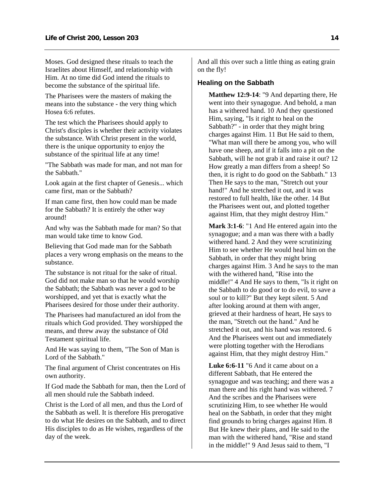<span id="page-15-0"></span>Moses. God designed these rituals to teach the Israelites about Himself, and relationship with Him. At no time did God intend the rituals to become the substance of the spiritual life.

The Pharisees were the masters of making the means into the substance - the very thing which Hosea 6:6 refutes.

The test which the Pharisees should apply to Christ's disciples is whether their activity violates the substance. With Christ present in the world, there is the unique opportunity to enjoy the substance of the spiritual life at any time!

"The Sabbath was made for man, and not man for the Sabbath."

Look again at the first chapter of Genesis... which came first, man or the Sabbath?

If man came first, then how could man be made for the Sabbath? It is entirely the other way around!

And why was the Sabbath made for man? So that man would take time to know God.

Believing that God made man for the Sabbath places a very wrong emphasis on the means to the substance.

The substance is not ritual for the sake of ritual. God did not make man so that he would worship the Sabbath; the Sabbath was never a god to be worshipped, and yet that is exactly what the Pharisees desired for those under their authority.

The Pharisees had manufactured an idol from the rituals which God provided. They worshipped the means, and threw away the substance of Old Testament spiritual life.

And He was saying to them, "The Son of Man is Lord of the Sabbath."

The final argument of Christ concentrates on His own authority.

If God made the Sabbath for man, then the Lord of all men should rule the Sabbath indeed.

Christ is the Lord of all men, and thus the Lord of the Sabbath as well. It is therefore His prerogative to do what He desires on the Sabbath, and to direct His disciples to do as He wishes, regardless of the day of the week.

And all this over such a little thing as eating grain on the fly!

## **Healing on the Sabbath**

**Matthew 12:9-14**: "9 And departing there, He went into their synagogue. And behold, a man has a withered hand. 10 And they questioned Him, saying, "Is it right to heal on the Sabbath?" - in order that they might bring charges against Him. 11 But He said to them, "What man will there be among you, who will have one sheep, and if it falls into a pit on the Sabbath, will he not grab it and raise it out? 12 How greatly a man differs from a sheep! So then, it is right to do good on the Sabbath." 13 Then He says to the man, "Stretch out your hand!" And he stretched it out, and it was restored to full health, like the other. 14 But the Pharisees went out, and plotted together against Him, that they might destroy Him."

**Mark 3:1-6**: "1 And He entered again into the synagogue; and a man was there with a badly withered hand. 2 And they were scrutinizing Him to see whether He would heal him on the Sabbath, in order that they might bring charges against Him. 3 And he says to the man with the withered hand, "Rise into the middle!" 4 And He says to them, "Is it right on the Sabbath to do good or to do evil, to save a soul or to kill?" But they kept silent. 5 And after looking around at them with anger, grieved at their hardness of heart, He says to the man, "Stretch out the hand." And he stretched it out, and his hand was restored. 6 And the Pharisees went out and immediately were plotting together with the Herodians against Him, that they might destroy Him."

**Luke 6:6-11** "6 And it came about on a different Sabbath, that He entered the synagogue and was teaching; and there was a man there and his right hand was withered. 7 And the scribes and the Pharisees were scrutinizing Him, to see whether He would heal on the Sabbath, in order that they might find grounds to bring charges against Him. 8 But He knew their plans, and He said to the man with the withered hand, "Rise and stand in the middle!" 9 And Jesus said to them, "I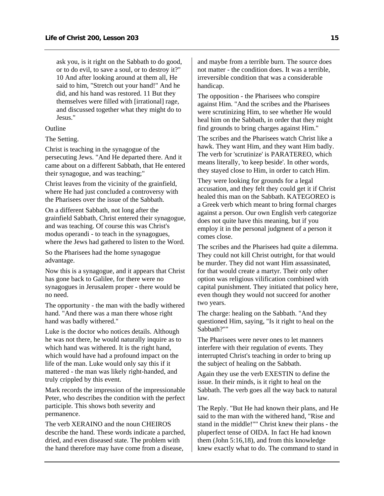ask you, is it right on the Sabbath to do good, or to do evil, to save a soul, or to destroy it?" 10 And after looking around at them all, He said to him, "Stretch out your hand!" And he did, and his hand was restored. 11 But they themselves were filled with [irrational] rage, and discussed together what they might do to Jesus."

### **Outline**

The Setting.

Christ is teaching in the synagogue of the persecuting Jews. "And He departed there. And it came about on a different Sabbath, that He entered their synagogue, and was teaching;"

Christ leaves from the vicinity of the grainfield, where He had just concluded a controversy with the Pharisees over the issue of the Sabbath.

On a different Sabbath, not long after the grainfield Sabbath, Christ entered their synagogue, and was teaching. Of course this was Christ's modus operandi - to teach in the synagogues, where the Jews had gathered to listen to the Word.

So the Pharisees had the home synagogue advantage.

Now this is a synagogue, and it appears that Christ has gone back to Galilee, for there were no synagogues in Jerusalem proper - there would be no need.

The opportunity - the man with the badly withered hand. "And there was a man there whose right hand was badly withered."

Luke is the doctor who notices details. Although he was not there, he would naturally inquire as to which hand was withered. It is the right hand, which would have had a profound impact on the life of the man. Luke would only say this if it mattered - the man was likely right-handed, and truly crippled by this event.

Mark records the impression of the impressionable Peter, who describes the condition with the perfect participle. This shows both severity and permanence.

The verb XERAINO and the noun CHEIROS describe the hand. These words indicate a parched, dried, and even diseased state. The problem with the hand therefore may have come from a disease,

and maybe from a terrible burn. The source does not matter - the condition does. It was a terrible, irreversible condition that was a considerable handicap.

The opposition - the Pharisees who conspire against Him. "And the scribes and the Pharisees were scrutinizing Him, to see whether He would heal him on the Sabbath, in order that they might find grounds to bring charges against Him."

The scribes and the Pharisees watch Christ like a hawk. They want Him, and they want Him badly. The verb for 'scrutinize' is PARATEREO, which means literally, 'to keep beside'. In other words, they stayed close to Him, in order to catch Him.

They were looking for grounds for a legal accusation, and they felt they could get it if Christ healed this man on the Sabbath. KATEGOREO is a Greek verb which meant to bring formal charges against a person. Our own English verb categorize does not quite have this meaning, but if you employ it in the personal judgment of a person it comes close.

The scribes and the Pharisees had quite a dilemma. They could not kill Christ outright, for that would be murder. They did not want Him assassinated, for that would create a martyr. Their only other option was religious vilification combined with capital punishment. They initiated that policy here, even though they would not succeed for another two years.

The charge: healing on the Sabbath. "And they questioned Him, saying, "Is it right to heal on the Sabbath?""

The Pharisees were never ones to let manners interfere with their regulation of events. They interrupted Christ's teaching in order to bring up the subject of healing on the Sabbath.

Again they use the verb EXESTIN to define the issue. In their minds, is it right to heal on the Sabbath. The verb goes all the way back to natural law.

The Reply. "But He had known their plans, and He said to the man with the withered hand, "Rise and stand in the middle!"" Christ knew their plans - the pluperfect tense of OIDA. In fact He had known them (John 5:16,18), and from this knowledge knew exactly what to do. The command to stand in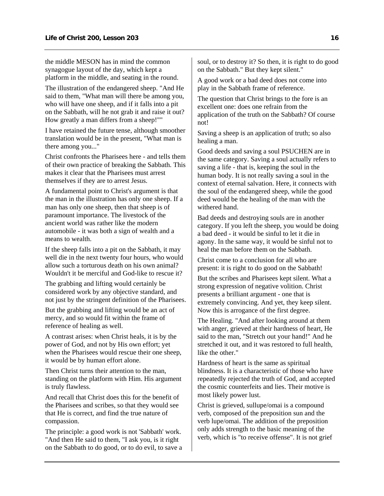the middle MESON has in mind the common synagogue layout of the day, which kept a platform in the middle, and seating in the round.

The illustration of the endangered sheep. "And He said to them, "What man will there be among you, who will have one sheep, and if it falls into a pit on the Sabbath, will he not grab it and raise it out? How greatly a man differs from a sheep!""

I have retained the future tense, although smoother translation would be in the present, "What man is there among you..."

Christ confronts the Pharisees here - and tells them of their own practice of breaking the Sabbath. This makes it clear that the Pharisees must arrest themselves if they are to arrest Jesus.

A fundamental point to Christ's argument is that the man in the illustration has only one sheep. If a man has only one sheep, then that sheep is of paramount importance. The livestock of the ancient world was rather like the modern automobile - it was both a sign of wealth and a means to wealth.

If the sheep falls into a pit on the Sabbath, it may well die in the next twenty four hours, who would allow such a torturous death on his own animal? Wouldn't it be merciful and God-like to rescue it?

The grabbing and lifting would certainly be considered work by any objective standard, and not just by the stringent definition of the Pharisees.

But the grabbing and lifting would be an act of mercy, and so would fit within the frame of reference of healing as well.

A contrast arises: when Christ heals, it is by the power of God, and not by His own effort; yet when the Pharisees would rescue their one sheep, it would be by human effort alone.

Then Christ turns their attention to the man, standing on the platform with Him. His argument is truly flawless.

And recall that Christ does this for the benefit of the Pharisees and scribes, so that they would see that He is correct, and find the true nature of compassion.

The principle: a good work is not 'Sabbath' work. "And then He said to them, "I ask you, is it right on the Sabbath to do good, or to do evil, to save a soul, or to destroy it? So then, it is right to do good on the Sabbath." But they kept silent."

A good work or a bad deed does not come into play in the Sabbath frame of reference.

The question that Christ brings to the fore is an excellent one: does one refrain from the application of the truth on the Sabbath? Of course not!

Saving a sheep is an application of truth; so also healing a man.

Good deeds and saving a soul PSUCHEN are in the same category. Saving a soul actually refers to saving a life - that is, keeping the soul in the human body. It is not really saving a soul in the context of eternal salvation. Here, it connects with the soul of the endangered sheep, while the good deed would be the healing of the man with the withered hand.

Bad deeds and destroying souls are in another category. If you left the sheep, you would be doing a bad deed - it would be sinful to let it die in agony. In the same way, it would be sinful not to heal the man before them on the Sabbath.

Christ come to a conclusion for all who are present: it is right to do good on the Sabbath!

But the scribes and Pharisees kept silent. What a strong expression of negative volition. Christ presents a brilliant argument - one that is extremely convincing. And yet, they keep silent. Now this is arrogance of the first degree.

The Healing. "And after looking around at them with anger, grieved at their hardness of heart, He said to the man, "Stretch out your hand!" And he stretched it out, and it was restored to full health, like the other."

Hardness of heart is the same as spiritual blindness. It is a characteristic of those who have repeatedly rejected the truth of God, and accepted the cosmic counterfeits and lies. Their motive is most likely power lust.

Christ is grieved, sullupe/omai is a compound verb, composed of the preposition sun and the verb lupe/omai. The addition of the preposition only adds strength to the basic meaning of the verb, which is "to receive offense". It is not grief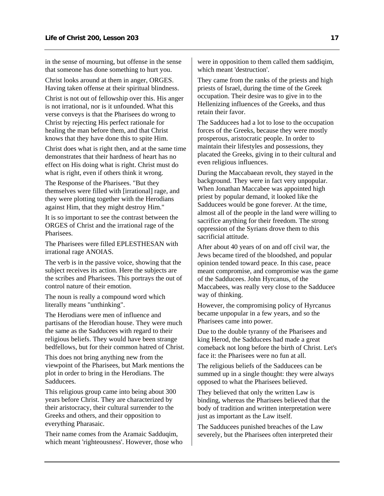in the sense of mourning, but offense in the sense that someone has done something to hurt you.

Christ looks around at them in anger, ORGES. Having taken offense at their spiritual blindness.

Christ is not out of fellowship over this. His anger is not irrational, nor is it unfounded. What this verse conveys is that the Pharisees do wrong to Christ by rejecting His perfect rationale for healing the man before them, and that Christ knows that they have done this to spite Him.

Christ does what is right then, and at the same time demonstrates that their hardness of heart has no effect on His doing what is right. Christ must do what is right, even if others think it wrong.

The Response of the Pharisees. "But they themselves were filled with [irrational] rage, and they were plotting together with the Herodians against Him, that they might destroy Him."

It is so important to see the contrast between the ORGES of Christ and the irrational rage of the Pharisees.

The Pharisees were filled EPLESTHESAN with irrational rage ANOIAS.

The verb is in the passive voice, showing that the subject receives its action. Here the subjects are the scribes and Pharisees. This portrays the out of control nature of their emotion.

The noun is really a compound word which literally means "unthinking".

The Herodians were men of influence and partisans of the Herodian house. They were much the same as the Sadducees with regard to their religious beliefs. They would have been strange bedfellows, but for their common hatred of Christ.

This does not bring anything new from the viewpoint of the Pharisees, but Mark mentions the plot in order to bring in the Herodians. The Sadducees.

This religious group came into being about 300 years before Christ. They are characterized by their aristocracy, their cultural surrender to the Greeks and others, and their opposition to everything Pharasaic.

Their name comes from the Aramaic Sadduqim, which meant 'righteousness'. However, those who were in opposition to them called them saddiqim, which meant 'destruction'.

They came from the ranks of the priests and high priests of Israel, during the time of the Greek occupation. Their desire was to give in to the Hellenizing influences of the Greeks, and thus retain their favor.

The Sadducees had a lot to lose to the occupation forces of the Greeks, because they were mostly prosperous, aristocratic people. In order to maintain their lifestyles and possessions, they placated the Greeks, giving in to their cultural and even religious influences.

During the Maccabaean revolt, they stayed in the background. They were in fact very unpopular. When Jonathan Maccabee was appointed high priest by popular demand, it looked like the Sadducees would be gone forever. At the time, almost all of the people in the land were willing to sacrifice anything for their freedom. The strong oppression of the Syrians drove them to this sacrificial attitude.

After about 40 years of on and off civil war, the Jews became tired of the bloodshed, and popular opinion tended toward peace. In this case, peace meant compromise, and compromise was the game of the Sadducees. John Hyrcanus, of the Maccabees, was really very close to the Sadducee way of thinking.

However, the compromising policy of Hyrcanus became unpopular in a few years, and so the Pharisees came into power.

Due to the double tyranny of the Pharisees and king Herod, the Sadducees had made a great comeback not long before the birth of Christ. Let's face it: the Pharisees were no fun at all.

The religious beliefs of the Sadducees can be summed up in a single thought: they were always opposed to what the Pharisees believed.

They believed that only the written Law is binding, whereas the Pharisees believed that the body of tradition and written interpretation were just as important as the Law itself.

The Sadducees punished breaches of the Law severely, but the Pharisees often interpreted their